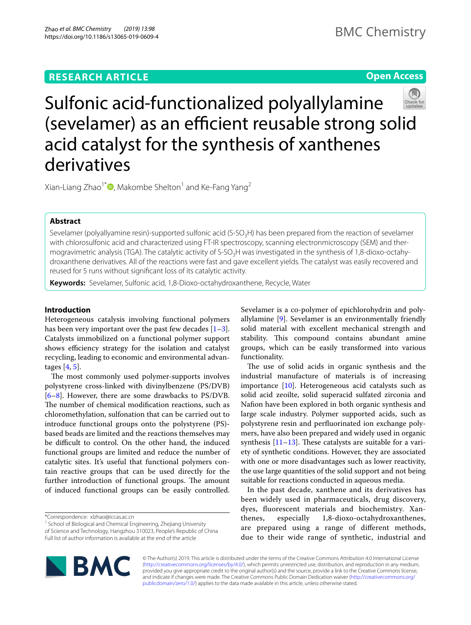# **RESEARCH ARTICLE**

# **Open Access**



Sulfonic acid-functionalized polyallylamine (sevelamer) as an efficient reusable strong solid acid catalyst for the synthesis of xanthenes derivatives

Xian-Liang Zhao<sup>1\*</sup>  $\bullet$ [,](http://orcid.org/0000-0002-7996-7075) Makombe Shelton<sup>1</sup> and Ke-Fang Yang<sup>2</sup>

# **Abstract**

Sevelamer (polyallyamine resin)-supported sulfonic acid (S-SO<sub>3</sub>H) has been prepared from the reaction of sevelamer with chlorosulfonic acid and characterized using FT-IR spectroscopy, scanning electronmicroscopy (SEM) and thermogravimetric analysis (TGA). The catalytic activity of S-SO<sub>3</sub>H was investigated in the synthesis of 1,8-dioxo-octahydroxanthene derivatives. All of the reactions were fast and gave excellent yields. The catalyst was easily recovered and reused for 5 runs without signifcant loss of its catalytic activity.

**Keywords:** Sevelamer, Sulfonic acid, 1,8-Dioxo-octahydroxanthene, Recycle, Water

# **Introduction**

Heterogeneous catalysis involving functional polymers has been very important over the past few decades  $[1-3]$  $[1-3]$ . Catalysts immobilized on a functional polymer support shows efficiency strategy for the isolation and catalyst recycling, leading to economic and environmental advantages [[4,](#page-6-0) [5](#page-6-1)].

The most commonly used polymer-supports involves polystyrene cross-linked with divinylbenzene (PS/DVB) [[6–](#page-6-2)[8\]](#page-6-3). However, there are some drawbacks to PS/DVB. The number of chemical modification reactions, such as chloromethylation, sulfonation that can be carried out to introduce functional groups onto the polystyrene (PS) based beads are limited and the reactions themselves may be difficult to control. On the other hand, the induced functional groups are limited and reduce the number of catalytic sites. It's useful that functional polymers contain reactive groups that can be used directly for the further introduction of functional groups. The amount of induced functional groups can be easily controlled.

\*Correspondence: xlzhao@iccas.ac.cn

<sup>1</sup> School of Biological and Chemical Engineering, Zhejiang University of Science and Technology, Hangzhou 310023, People's Republic of China Full list of author information is available at the end of the article

Sevelamer is a co-polymer of epichlorohydrin and polyallylamine [\[9](#page-6-4)]. Sevelamer is an environmentally friendly solid material with excellent mechanical strength and stability. This compound contains abundant amine groups, which can be easily transformed into various functionality.

The use of solid acids in organic synthesis and the industrial manufacture of materials is of increasing importance [[10\]](#page-6-5). Heterogeneous acid catalysts such as solid acid zeoilte, solid superacid sulfated zirconia and Nafon have been explored in both organic synthesis and large scale industry. Polymer supported acids, such as polystyrene resin and perfuorinated ion exchange polymers, have also been prepared and widely used in organic synthesis  $[11-13]$  $[11-13]$  $[11-13]$ . These catalysts are suitable for a variety of synthetic conditions. However, they are associated with one or more disadvantages such as lower reactivity, the use large quantities of the solid support and not being suitable for reactions conducted in aqueous media.

In the past decade, xanthene and its derivatives has been widely used in pharmaceuticals, drug discovery, dyes, fuorescent materials and biochemistry. Xanthenes, especially 1,8-dioxo-octahydroxanthenes, are prepared using a range of diferent methods, due to their wide range of synthetic, industrial and



© The Author(s) 2019. This article is distributed under the terms of the Creative Commons Attribution 4.0 International License [\(http://creativecommons.org/licenses/by/4.0/\)](http://creativecommons.org/licenses/by/4.0/), which permits unrestricted use, distribution, and reproduction in any medium, provided you give appropriate credit to the original author(s) and the source, provide a link to the Creative Commons license, and indicate if changes were made. The Creative Commons Public Domain Dedication waiver ([http://creativecommons.org/](http://creativecommons.org/publicdomain/zero/1.0/) [publicdomain/zero/1.0/](http://creativecommons.org/publicdomain/zero/1.0/)) applies to the data made available in this article, unless otherwise stated.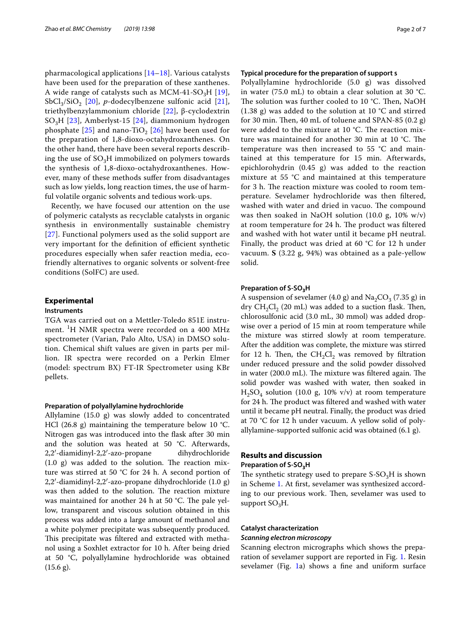pharmacological applications [[14–](#page-6-8)[18\]](#page-6-9). Various catalysts have been used for the preparation of these xanthenes. A wide range of catalysts such as MCM-41-SO<sub>3</sub>H [[19\]](#page-6-10), SbCl<sub>3</sub>/SiO<sub>2</sub> [[20](#page-6-11)], *p*-dodecylbenzene sulfonic acid [[21\]](#page-6-12), triethylbenzylammonium chloride [[22\]](#page-6-13), β-cyclodextrin SO3H [[23\]](#page-6-14), Amberlyst-15 [\[24](#page-6-15)], diammonium hydrogen phosphate  $[25]$  $[25]$  and nano-TiO<sub>2</sub>  $[26]$  $[26]$  have been used for the preparation of 1,8-dioxo-octahydroxanthenes. On the other hand, there have been several reports describing the use of  $SO<sub>3</sub>H$  immobilized on polymers towards the synthesis of 1,8-dioxo-octahydroxanthenes. However, many of these methods sufer from disadvantages such as low yields, long reaction times, the use of harmful volatile organic solvents and tedious work-ups.

Recently, we have focused our attention on the use of polymeric catalysts as recyclable catalysts in organic synthesis in environmentally sustainable chemistry [[27](#page-6-18)]. Functional polymers used as the solid support are very important for the definition of efficient synthetic procedures especially when safer reaction media, ecofriendly alternatives to organic solvents or solvent-free conditions (SolFC) are used.

# **Experimental**

# **Instruments**

TGA was carried out on a Mettler-Toledo 851E instrument. <sup>1</sup> H NMR spectra were recorded on a 400 MHz spectrometer (Varian, Palo Alto, USA) in DMSO solution. Chemical shift values are given in parts per million. IR spectra were recorded on a Perkin Elmer (model: spectrum BX) FT-IR Spectrometer using KBr pellets.

#### **Preparation of polyallylamine hydrochloride**

Allylamine (15.0 g) was slowly added to concentrated HCl (26.8 g) maintaining the temperature below 10  $°C$ . Nitrogen gas was introduced into the fask after 30 min and the solution was heated at 50 °C. Afterwards, 2,2′-diamidinyl-2,2′-azo-propane dihydrochloride  $(1.0 \text{ g})$  was added to the solution. The reaction mixture was stirred at 50 °C for 24 h. A second portion of 2,2′-diamidinyl-2,2′-azo-propane dihydrochloride (1.0 g) was then added to the solution. The reaction mixture was maintained for another 24 h at 50 °C. The pale yellow, transparent and viscous solution obtained in this process was added into a large amount of methanol and a white polymer precipitate was subsequently produced. This precipitate was filtered and extracted with methanol using a Soxhlet extractor for 10 h. After being dried at 50 °C, polyallylamine hydrochloride was obtained  $(15.6 \text{ g})$ .

## **Typical procedure for the preparation of support s**

Polyallylamine hydrochloride (5.0 g) was dissolved in water (75.0 mL) to obtain a clear solution at 30 °C. The solution was further cooled to 10 °C. Then, NaOH (1.38 g) was added to the solution at 10 °C and stirred for 30 min. Then, 40 mL of toluene and SPAN-85  $(0.2 g)$ were added to the mixture at 10 °C. The reaction mixture was maintained for another 30 min at 10  $^{\circ}$ C. The temperature was then increased to 55 °C and maintained at this temperature for 15 min. Afterwards, epichlorohydrin (0.45 g) was added to the reaction mixture at 55 °C and maintained at this temperature for 3 h. The reaction mixture was cooled to room temperature. Sevelamer hydrochloride was then fltered, washed with water and dried in vacuo. The compound was then soaked in NaOH solution (10.0 g, 10% w/v) at room temperature for 24 h. The product was filtered and washed with hot water until it became pH neutral. Finally, the product was dried at 60  $\degree$ C for 12 h under vacuum. **S** (3.22 g, 94%) was obtained as a pale-yellow solid.

## **Preparation of S‑SO3H**

A suspension of sevelamer (4.0 g) and  $Na<sub>2</sub>CO<sub>3</sub>$  (7.35 g) in dry  $CH_2Cl_2$  (20 mL) was added to a suction flask. Then, chlorosulfonic acid (3.0 mL, 30 mmol) was added dropwise over a period of 15 min at room temperature while the mixture was stirred slowly at room temperature. After the addition was complete, the mixture was stirred for 12 h. Then, the  $CH_2Cl_2$  was removed by filtration under reduced pressure and the solid powder dissolved in water  $(200.0 \text{ mL})$ . The mixture was filtered again. The solid powder was washed with water, then soaked in  $H_2SO_4$  solution (10.0 g, 10% v/v) at room temperature for 24 h. The product was filtered and washed with water until it became pH neutral. Finally, the product was dried at 70 °C for 12 h under vacuum. A yellow solid of polyallylamine-supported sulfonic acid was obtained (6.1 g).

# **Results and discussion**

# **Preparation of S‑SO3H**

The synthetic strategy used to prepare  $S-SO<sub>3</sub>H$  is shown in Scheme [1.](#page-2-0) At frst, sevelamer was synthesized according to our previous work. Then, sevelamer was used to support  $SO_3H$ .

### **Catalyst characterization**

# *Scanning electron microscopy*

Scanning electron micrographs which shows the preparation of sevelamer support are reported in Fig. [1.](#page-2-1) Resin sevelamer (Fig. [1](#page-2-1)a) shows a fne and uniform surface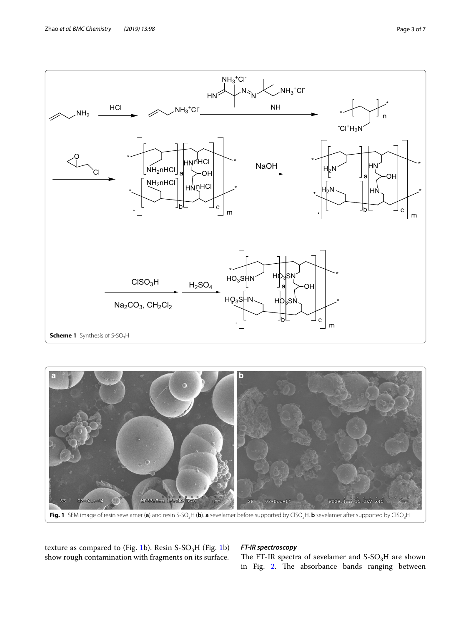

<span id="page-2-0"></span>

<span id="page-2-1"></span>texture as compared to (Fig. [1b](#page-2-1)). Resin  $S-SO<sub>3</sub>H$  (Fig. [1](#page-2-1)b) show rough contamination with fragments on its surface.

# *FT‑IR spectroscopy*

The FT-IR spectra of sevelamer and  $S-SO<sub>3</sub>H$  are shown in Fig. [2](#page-3-0). The absorbance bands ranging between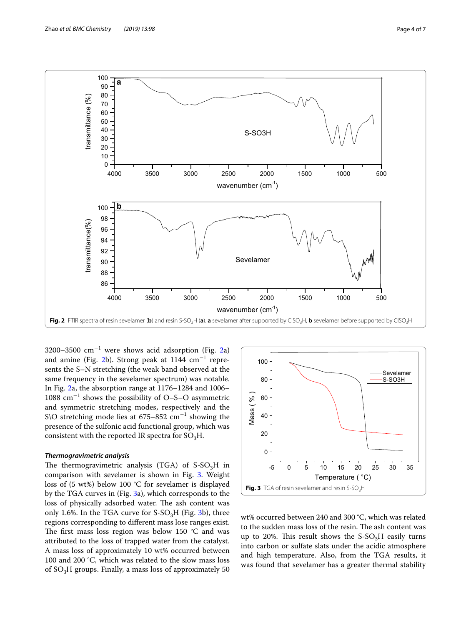

<span id="page-3-0"></span>3200–3500  $\text{cm}^{-1}$  were shows acid adsorption (Fig. [2a](#page-3-0)) and amine (Fig. [2](#page-3-0)b). Strong peak at  $1144$   $\rm cm^{-1}$  represents the S–N stretching (the weak band observed at the same frequency in the sevelamer spectrum) was notable. In Fig. [2a](#page-3-0), the absorption range at 1176–1284 and 1006– 1088 cm−<sup>1</sup> shows the possibility of O–S–O asymmetric and symmetric stretching modes, respectively and the S\O stretching mode lies at  $675-852$  cm<sup>-1</sup> showing the presence of the sulfonic acid functional group, which was consistent with the reported IR spectra for  $SO_3H$ .

### *Thermogravimetric analysis*

The thermogravimetric analysis (TGA) of  $S-SO<sub>3</sub>H$  in comparison with sevelamer is shown in Fig. [3](#page-3-1). Weight loss of (5 wt%) below 100 °C for sevelamer is displayed by the TGA curves in (Fig. [3a](#page-3-1)), which corresponds to the loss of physically adsorbed water. The ash content was only 1.6%. In the TGA curve for  $S-SO<sub>3</sub>H$  (Fig. [3b](#page-3-1)), three regions corresponding to diferent mass lose ranges exist. The first mass loss region was below 150  $^{\circ}$ C and was attributed to the loss of trapped water from the catalyst. A mass loss of approximately 10 wt% occurred between 100 and 200 °C, which was related to the slow mass loss of  $SO<sub>3</sub>H$  groups. Finally, a mass loss of approximately 50



<span id="page-3-1"></span>wt% occurred between 240 and 300 °C, which was related to the sudden mass loss of the resin. The ash content was up to 20%. This result shows the  $S-SO<sub>3</sub>H$  easily turns into carbon or sulfate slats under the acidic atmosphere and high temperature. Also, from the TGA results, it was found that sevelamer has a greater thermal stability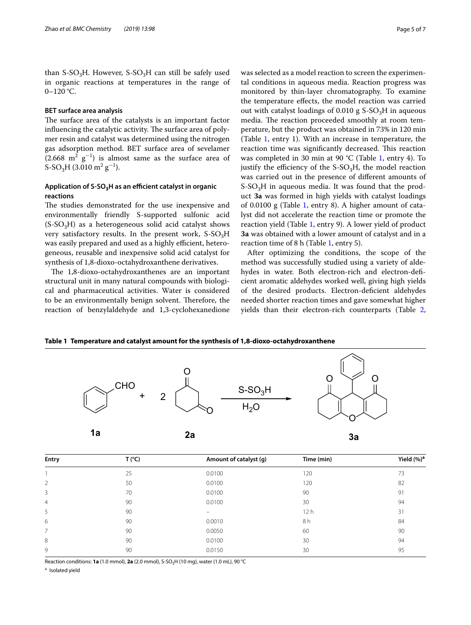than S-SO<sub>3</sub>H. However, S-SO<sub>3</sub>H can still be safely used in organic reactions at temperatures in the range of 0–120 °C.

## **BET surface area analysis**

The surface area of the catalysts is an important factor influencing the catalytic activity. The surface area of polymer resin and catalyst was determined using the nitrogen gas adsorption method. BET surface area of sevelamer  $(2.668 \text{ m}^2 \text{ g}^{-1})$  is almost same as the surface area of S-SO<sub>3</sub>H (3.010 m<sup>2</sup> g<sup>-1</sup>).

# Application of S-SO<sub>3</sub>H as an efficient catalyst in organic **reactions**

The studies demonstrated for the use inexpensive and environmentally friendly S-supported sulfonic acid  $(S-SO<sub>3</sub>H)$  as a heterogeneous solid acid catalyst shows very satisfactory results. In the present work,  $S-SO<sub>3</sub>H$ was easily prepared and used as a highly efficient, heterogeneous, reusable and inexpensive solid acid catalyst for synthesis of 1,8-dioxo-octahydroxanthene derivatives.

The 1,8-dioxo-octahydroxanthenes are an important structural unit in many natural compounds with biological and pharmaceutical activities. Water is considered to be an environmentally benign solvent. Therefore, the reaction of benzylaldehyde and 1,3-cyclohexanedione was selected as a model reaction to screen the experimental conditions in aqueous media. Reaction progress was monitored by thin-layer chromatography. To examine the temperature efects, the model reaction was carried out with catalyst loadings of  $0.010$  g  $S-SO<sub>3</sub>H$  in aqueous media. The reaction proceeded smoothly at room temperature, but the product was obtained in 73% in 120 min (Table [1,](#page-4-0) entry 1). With an increase in temperature, the reaction time was significantly decreased. This reaction was completed in 30 min at 90 °C (Table [1,](#page-4-0) entry 4). To justify the efficiency of the  $S-SO<sub>3</sub>H$ , the model reaction was carried out in the presence of diferent amounts of  $S-SO<sub>3</sub>H$  in aqueous media. It was found that the product **3a** was formed in high yields with catalyst loadings of 0.0100 g (Table [1,](#page-4-0) entry 8). A higher amount of catalyst did not accelerate the reaction time or promote the reaction yield (Table [1](#page-4-0), entry 9). A lower yield of product **3a** was obtained with a lower amount of catalyst and in a reaction time of 8 h (Table [1,](#page-4-0) entry 5).

After optimizing the conditions, the scope of the method was successfully studied using a variety of aldehydes in water. Both electron-rich and electron-defcient aromatic aldehydes worked well, giving high yields of the desired products. Electron-defcient aldehydes needed shorter reaction times and gave somewhat higher yields than their electron-rich counterparts (Table [2](#page-5-2),

### <span id="page-4-0"></span>**Table 1 Temperature and catalyst amount for the synthesis of 1,8-dioxo-octahydroxanthene**



| Entry          | T (°C) | Amount of catalyst (g) | Time (min) | Yield $(\%)^a$ |
|----------------|--------|------------------------|------------|----------------|
|                | 25     | 0.0100                 | 120        | 73             |
| $\overline{2}$ | 50     | 0.0100                 | 120        | 82             |
| 3              | 70     | 0.0100                 | 90         | 91             |
| $\overline{4}$ | 90     | 0.0100                 | 30         | 94             |
| 5              | 90     |                        | 12h        | 31             |
| 6              | 90     | 0.0010                 | 8 h        | 84             |
| 7              | 90     | 0.0050                 | 60         | 90             |
| 8              | 90     | 0.0100                 | 30         | 94             |
| 9              | 90     | 0.0150                 | 30         | 95             |

Reaction conditions: **1a** (1.0 mmol), **2a** (2.0 mmol), S-SO<sub>3</sub>H (10 mg), water (1.0 mL), 90 °C

a Isolated yield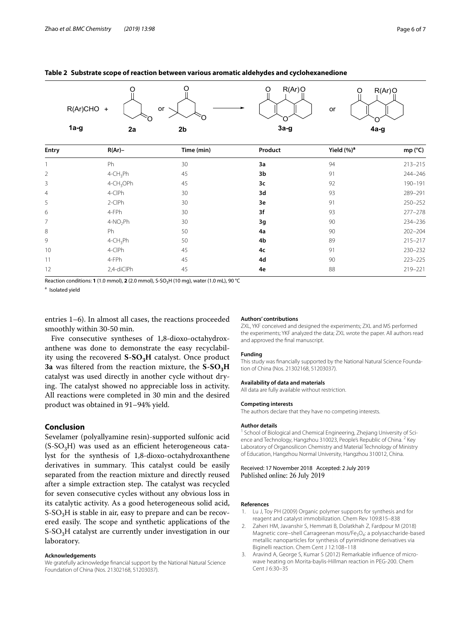#### <span id="page-5-2"></span>**Table 2 Substrate scope of reaction between various aromatic aldehydes and cyclohexanedione**

| R(Ar)CHO + |    | or             | R(Ar)Q | R(Ar)Q<br>or |
|------------|----|----------------|--------|--------------|
| $1a-g$     | 2a | 2 <sub>b</sub> | $3a-g$ | 4a-g         |

| Entry          | $R(Ar)$ -               | Time (min) | Product | Yield (%) <sup>a</sup> | mp (°C)     |
|----------------|-------------------------|------------|---------|------------------------|-------------|
|                | Ph                      | 30         | 3a      | 94                     | $213 - 215$ |
| $\overline{2}$ | $4$ -CH <sub>3</sub> Ph | 45         | 3b      | 91                     | 244-246     |
| 3              | 4-CH <sub>3</sub> OPh   | 45         | 3c      | 92                     | 190-191     |
| 4              | 4-CIPh                  | 30         | 3d      | 93                     | 289-291     |
| 5              | 2-CIPh                  | 30         | 3e      | 91                     | 250-252     |
| 6              | 4-FPh                   | 30         | 3f      | 93                     | $277 - 278$ |
| $\overline{7}$ | 4-NO <sub>2</sub> Ph    | 30         | 3g      | 90                     | 234-236     |
| 8              | Ph                      | 50         | 4a      | 90                     | $202 - 204$ |
| 9              | $4$ -CH <sub>3</sub> Ph | 50         | 4b      | 89                     | $215 - 217$ |
| 10             | 4-CIPh                  | 45         | 4c      | 91                     | 230-232     |
| 11             | 4-FPh                   | 45         | 4d      | 90                     | $223 - 225$ |
| 12             | 2,4-diClPh              | 45         | 4e      | 88                     | 219-221     |

Reaction conditions: **1** (1.0 mmol), **2** (2.0 mmol), S-SO<sub>3</sub>H (10 mg), water (1.0 mL), 90 °C

<sup>a</sup> Isolated yield

entries 1–6). In almost all cases, the reactions proceeded smoothly within 30-50 min.

Five consecutive syntheses of 1,8-dioxo-octahydroxanthene was done to demonstrate the easy recyclability using the recovered  $S-SO<sub>3</sub>H$  catalyst. Once product **3a** was filtered from the reaction mixture, the S-SO<sub>3</sub>H catalyst was used directly in another cycle without drying. The catalyst showed no appreciable loss in activity. All reactions were completed in 30 min and the desired product was obtained in 91–94% yield.

### **Conclusion**

Sevelamer (polyallyamine resin)-supported sulfonic acid  $(S-SO<sub>3</sub>H)$  was used as an efficient heterogeneous catalyst for the synthesis of 1,8-dioxo-octahydroxanthene derivatives in summary. This catalyst could be easily separated from the reaction mixture and directly reused after a simple extraction step. The catalyst was recycled for seven consecutive cycles without any obvious loss in its catalytic activity. As a good heterogeneous solid acid,  $S-SO<sub>3</sub>H$  is stable in air, easy to prepare and can be recovered easily. The scope and synthetic applications of the  $S-SO<sub>3</sub>H$  catalyst are currently under investigation in our laboratory.

#### **Acknowledgements**

We gratefully acknowledge fnancial support by the National Natural Science Foundation of China (Nos. 21302168, 51203037).

#### **Authors' contributions**

ZXL, YKF conceived and designed the experiments; ZXL and MS performed the experiments; YKF analyzed the data; ZXL wrote the paper. All authors read and approved the fnal manuscript.

#### **Funding**

This study was financially supported by the National Natural Science Foundation of China (Nos. 21302168, 51203037).

#### **Availability of data and materials**

All data are fully available without restriction.

#### **Competing interests**

The authors declare that they have no competing interests.

#### **Author details**

<sup>1</sup> School of Biological and Chemical Engineering, Zhejiang University of Science and Technology, Hangzhou 310023, People's Republic of China.<sup>2</sup> Key Laboratory of Organosilicon Chemistry and Material Technology of Ministry of Education, Hangzhou Normal University, Hangzhou 310012, China.

#### Received: 17 November 2018 Accepted: 2 July 2019 Published online: 26 July 2019

#### **References**

- <span id="page-5-0"></span>1. Lu J, Toy PH (2009) Organic polymer supports for synthesis and for reagent and catalyst immobilization. Chem Rev 109:815–838
- 2. Zaheri HM, Javanshir S, Hemmati B, Dolatkhah Z, Fardpour M (2018) Magnetic core–shell Carrageenan moss/Fe<sub>3</sub>O<sub>4</sub>: a polysaccharide-based metallic nanoparticles for synthesis of pyrimidinone derivatives via Biginelli reaction. Chem Cent J 12:108–118
- <span id="page-5-1"></span>3. Aravind A, George S, Kumar S (2012) Remarkable influence of microwave heating on Morita-baylis-Hillman reaction in PEG-200. Chem Cent J 6:30–35